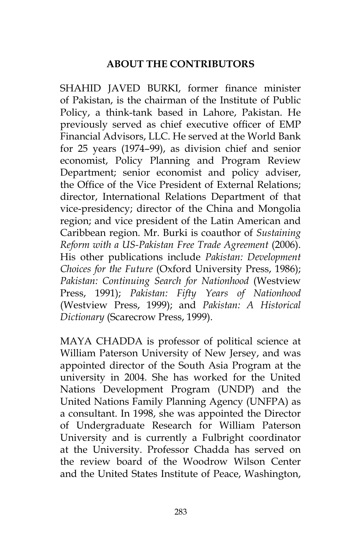## **ABOUT THE CONTRIBUTORS**

SHAHID JAVED BURKI, former finance minister of Pakistan, is the chairman of the Institute of Public Policy, a think-tank based in Lahore, Pakistan. He previously served as chief executive officer of EMP Financial Advisors, LLC. He served at the World Bank for 25 years (1974–99), as division chief and senior economist, Policy Planning and Program Review Department; senior economist and policy adviser, the Office of the Vice President of External Relations; director, International Relations Department of that vice-presidency; director of the China and Mongolia region; and vice president of the Latin American and Caribbean region. Mr. Burki is coauthor of *Sustaining Reform with a US-Pakistan Free Trade Agreement* (2006). His other publications include *Pakistan: Development Choices for the Future* (Oxford University Press, 1986); *Pakistan: Continuing Search for Nationhood* (Westview Press, 1991); *Pakistan: Fifty Years of Nationhood* (Westview Press, 1999); and *Pakistan: A Historical Dictionary* (Scarecrow Press, 1999).

MAYA CHADDA is professor of political science at William Paterson University of New Jersey, and was appointed director of the South Asia Program at the university in 2004. She has worked for the United Nations Development Program (UNDP) and the United Nations Family Planning Agency (UNFPA) as a consultant. In 1998, she was appointed the Director of Undergraduate Research for William Paterson University and is currently a Fulbright coordinator at the University. Professor Chadda has served on the review board of the Woodrow Wilson Center and the United States Institute of Peace, Washington,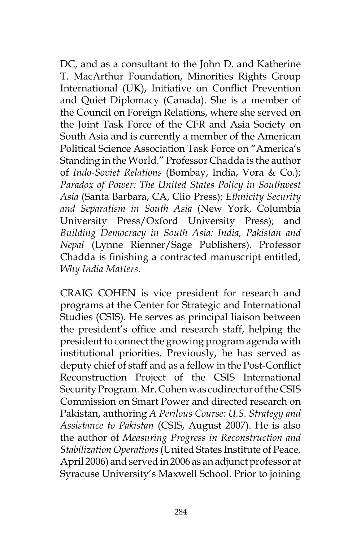DC, and as a consultant to the John D. and Katherine T. MacArthur Foundation, Minorities Rights Group International (UK), Initiative on Conflict Prevention and Quiet Diplomacy (Canada). She is a member of the Council on Foreign Relations, where she served on the Joint Task Force of the CFR and Asia Society on South Asia and is currently a member of the American Political Science Association Task Force on "America's Standing in the World." Professor Chadda is the author of *Indo-Soviet Relations* (Bombay, India, Vora & Co.); *Paradox of Power: The United States Policy in Southwest Asia* (Santa Barbara, CA, Clio Press); *Ethnicity Security and Separatism in South Asia* (New York, Columbia University Press/Oxford University Press); and *Building Democracy in South Asia: India, Pakistan and Nepal* (Lynne Rienner/Sage Publishers). Professor Chadda is finishing a contracted manuscript entitled, *Why India Matters*.

CRAIG COHEN is vice president for research and programs at the Center for Strategic and International Studies (CSIS). He serves as principal liaison between the president's office and research staff, helping the president to connect the growing program agenda with institutional priorities. Previously, he has served as deputy chief of staff and as a fellow in the Post-Conflict Reconstruction Project of the CSIS International Security Program. Mr. Cohen was codirector of the CSIS Commission on Smart Power and directed research on Pakistan, authoring *A Perilous Course: U.S. Strategy and Assistance to Pakistan* (CSIS, August 2007). He is also the author of *Measuring Progress in Reconstruction and Stabilization Operations* (United States Institute of Peace, April 2006) and served in 2006 as an adjunct professor at Syracuse University's Maxwell School. Prior to joining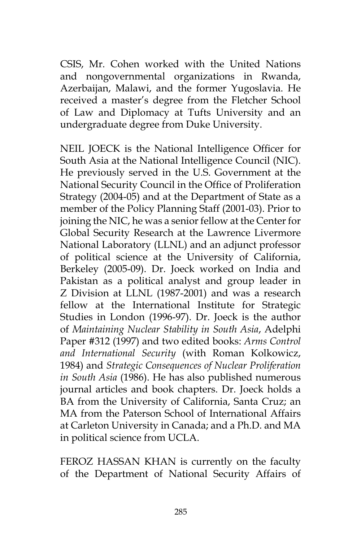CSIS, Mr. Cohen worked with the United Nations and nongovernmental organizations in Rwanda, Azerbaijan, Malawi, and the former Yugoslavia. He received a master's degree from the Fletcher School of Law and Diplomacy at Tufts University and an undergraduate degree from Duke University.

NEIL JOECK is the National Intelligence Officer for South Asia at the National Intelligence Council (NIC). He previously served in the U.S. Government at the National Security Council in the Office of Proliferation Strategy (2004-05) and at the Department of State as a member of the Policy Planning Staff (2001-03). Prior to joining the NIC, he was a senior fellow at the Center for Global Security Research at the Lawrence Livermore National Laboratory (LLNL) and an adjunct professor of political science at the University of California, Berkeley (2005-09). Dr. Joeck worked on India and Pakistan as a political analyst and group leader in Z Division at LLNL (1987-2001) and was a research fellow at the International Institute for Strategic Studies in London (1996-97). Dr. Joeck is the author of *Maintaining Nuclear Stability in South Asia*, Adelphi Paper #312 (1997) and two edited books: *Arms Control and International Security* (with Roman Kolkowicz, 1984) and *Strategic Consequences of Nuclear Proliferation in South Asia* (1986). He has also published numerous journal articles and book chapters. Dr. Joeck holds a BA from the University of California, Santa Cruz; an MA from the Paterson School of International Affairs at Carleton University in Canada; and a Ph.D. and MA in political science from UCLA.

FEROZ HASSAN KHAN is currently on the faculty of the Department of National Security Affairs of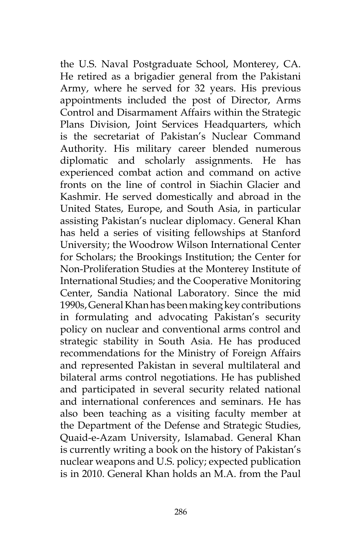the U.S. Naval Postgraduate School, Monterey, CA. He retired as a brigadier general from the Pakistani Army, where he served for 32 years. His previous appointments included the post of Director, Arms Control and Disarmament Affairs within the Strategic Plans Division, Joint Services Headquarters, which is the secretariat of Pakistan's Nuclear Command Authority. His military career blended numerous diplomatic and scholarly assignments. He has experienced combat action and command on active fronts on the line of control in Siachin Glacier and Kashmir. He served domestically and abroad in the United States, Europe, and South Asia, in particular assisting Pakistan's nuclear diplomacy. General Khan has held a series of visiting fellowships at Stanford University; the Woodrow Wilson International Center for Scholars; the Brookings Institution; the Center for Non-Proliferation Studies at the Monterey Institute of International Studies; and the Cooperative Monitoring Center, Sandia National Laboratory. Since the mid 1990s, General Khan has been making key contributions in formulating and advocating Pakistan's security policy on nuclear and conventional arms control and strategic stability in South Asia. He has produced recommendations for the Ministry of Foreign Affairs and represented Pakistan in several multilateral and bilateral arms control negotiations. He has published and participated in several security related national and international conferences and seminars. He has also been teaching as a visiting faculty member at the Department of the Defense and Strategic Studies, Quaid-e-Azam University, Islamabad. General Khan is currently writing a book on the history of Pakistan's nuclear weapons and U.S. policy; expected publication is in 2010. General Khan holds an M.A. from the Paul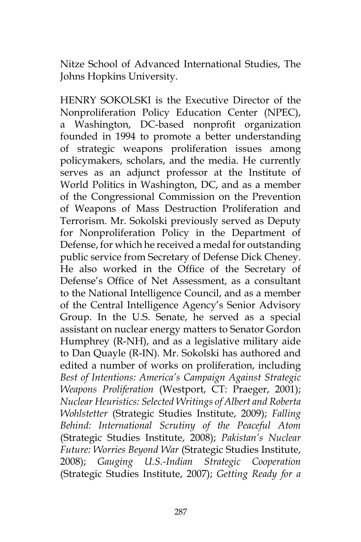Nitze School of Advanced International Studies, The Johns Hopkins University.

HENRY SOKOLSKI is the Executive Director of the Nonproliferation Policy Education Center (NPEC), a Washington, DC-based nonprofit organization founded in 1994 to promote a better understanding of strategic weapons proliferation issues among policymakers, scholars, and the media. He currently serves as an adjunct professor at the Institute of World Politics in Washington, DC, and as a member of the Congressional Commission on the Prevention of Weapons of Mass Destruction Proliferation and Terrorism. Mr. Sokolski previously served as Deputy for Nonproliferation Policy in the Department of Defense, for which he received a medal for outstanding public service from Secretary of Defense Dick Cheney. He also worked in the Office of the Secretary of Defense's Office of Net Assessment, as a consultant to the National Intelligence Council, and as a member of the Central Intelligence Agency's Senior Advisory Group. In the U.S. Senate, he served as a special assistant on nuclear energy matters to Senator Gordon Humphrey (R-NH), and as a legislative military aide to Dan Quayle (R-IN). Mr. Sokolski has authored and edited a number of works on proliferation, including *Best of Intentions: America's Campaign Against Strategic Weapons Proliferation* (Westport, CT: Praeger, 2001); *Nuclear Heuristics: Selected Writings of Albert and Roberta Wohlstetter* (Strategic Studies Institute, 2009); *Falling Behind: International Scrutiny of the Peaceful Atom* (Strategic Studies Institute, 2008); *Pakistan's Nuclear Future: Worries Beyond War* (Strategic Studies Institute, 2008); *Gauging U.S.-Indian Strategic Cooperation* (Strategic Studies Institute, 2007); *Getting Ready for a*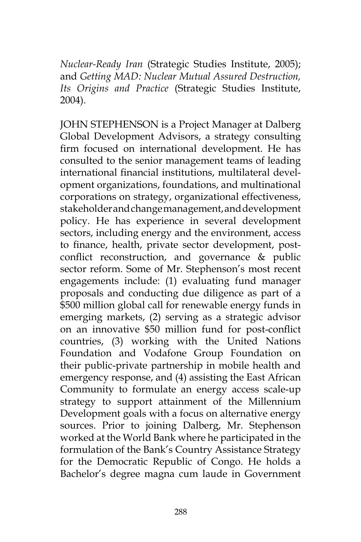*Nuclear-Ready Iran* (Strategic Studies Institute, 2005); and *Getting MAD: Nuclear Mutual Assured Destruction, Its Origins and Practice* (Strategic Studies Institute, 2004).

JOHN STEPHENSON is a Project Manager at Dalberg Global Development Advisors, a strategy consulting firm focused on international development. He has consulted to the senior management teams of leading international financial institutions, multilateral development organizations, foundations, and multinational corporations on strategy, organizational effectiveness, stakeholder and change management, and development policy. He has experience in several development sectors, including energy and the environment, access to finance, health, private sector development, postconflict reconstruction, and governance & public sector reform. Some of Mr. Stephenson's most recent engagements include: (1) evaluating fund manager proposals and conducting due diligence as part of a \$500 million global call for renewable energy funds in emerging markets, (2) serving as a strategic advisor on an innovative \$50 million fund for post-conflict countries, (3) working with the United Nations Foundation and Vodafone Group Foundation on their public-private partnership in mobile health and emergency response, and (4) assisting the East African Community to formulate an energy access scale-up strategy to support attainment of the Millennium Development goals with a focus on alternative energy sources. Prior to joining Dalberg, Mr. Stephenson worked at the World Bank where he participated in the formulation of the Bank's Country Assistance Strategy for the Democratic Republic of Congo. He holds a Bachelor's degree magna cum laude in Government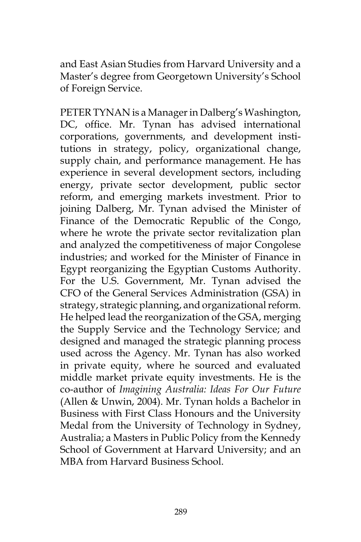and East Asian Studies from Harvard University and a Master's degree from Georgetown University's School of Foreign Service.

PETER TYNAN is a Manager in Dalberg's Washington, DC, office. Mr. Tynan has advised international corporations, governments, and development institutions in strategy, policy, organizational change, supply chain, and performance management. He has experience in several development sectors, including energy, private sector development, public sector reform, and emerging markets investment. Prior to joining Dalberg, Mr. Tynan advised the Minister of Finance of the Democratic Republic of the Congo, where he wrote the private sector revitalization plan and analyzed the competitiveness of major Congolese industries; and worked for the Minister of Finance in Egypt reorganizing the Egyptian Customs Authority. For the U.S. Government, Mr. Tynan advised the CFO of the General Services Administration (GSA) in strategy, strategic planning, and organizational reform. He helped lead the reorganization of the GSA, merging the Supply Service and the Technology Service; and designed and managed the strategic planning process used across the Agency. Mr. Tynan has also worked in private equity, where he sourced and evaluated middle market private equity investments. He is the co-author of *Imagining Australia: Ideas For Our Future* (Allen & Unwin, 2004). Mr. Tynan holds a Bachelor in Business with First Class Honours and the University Medal from the University of Technology in Sydney, Australia; a Masters in Public Policy from the Kennedy School of Government at Harvard University; and an MBA from Harvard Business School.